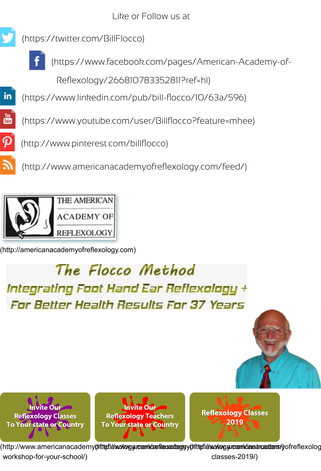

You<sub></sub>

(https://www.linkedin.com/pub/bill-flocco/10/63a/596)

(https://www.youtube.com/user/Billflocco?feature=mhee)

 [\(http://www.pinterest.com/billfl](https://twitter.com/BillFlocco)occo)

 [\(http://www.americanacademyofreflexology.com/feed/\)](https://www.facebook.com/pages/American-Academy-of-Reflexology/266810783352811?ref=hl)



[\(http://americanacademyofreflexology.com\)](http://www.pinterest.com/billflocco)

## The Flocco Method Integrating Foot Hand Ear Reflexology + For Better Health Results For 37 Years



**Invite Our Reflexology Classes To Your state or Country** 

**Invite Our Reflexology Teachers** To Your state or Country

**Reflexology Classes** 2019

(http://www.americanacademy**(tfteti/exology.com/canacadegyy(tfteti/exology.com/casacadems/yof** workshop-for-your-school/) classes-2019/)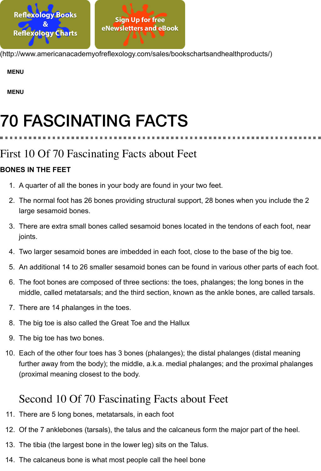# [70 FASCINATING FACTS](http://www.americanacademyofreflexology.com/sales/bookschartsandhealthproducts/)

### First 10 Of 70 Fascinating Facts about Feet

#### **BONES IN THE FEET**

- 1. A quarter of all the bones in your body are found in your two feet.
- 2. The normal foot has 26 bones providing structural support, 28 bones when you include large sesamoid bones.
- 3. There are extra small bones called sesamoid bones located in the tendons of each foo joints.
- 4. Two larger sesamoid bones are imbedded in each foot, close to the base of the big toe.
- 5. An additional 14 to 26 smaller sesamoid bones can be found in various other parts of  $\epsilon$
- 6. The foot bones are composed of three sections: the toes, phalanges; the long bones in middle, called metatarsals; and the third section, known as the ankle bones, are called
- 7. There are 14 phalanges in the toes.
- 8. The big toe is also called the Great Toe and the Hallux
- 9. The big toe has two bones.
- 10. Each of the other four toes has 3 bones (phalanges); the distal phalanges (distal mean further away from the body); the middle, a.k.a. medial phalanges; and the proximal pha (proximal meaning closest to the body.

### Second 10 Of 70 Fascinating Facts about Feet

- 11. There are 5 long bones, metatarsals, in each foot
- 12. Of the 7 anklebones (tarsals), the talus and the calcaneus form the major part of the he
- 13. The tibia (the largest bone in the lower leg) sits on the Talus.
- 14. The calcaneus bone is what most people call the heel bone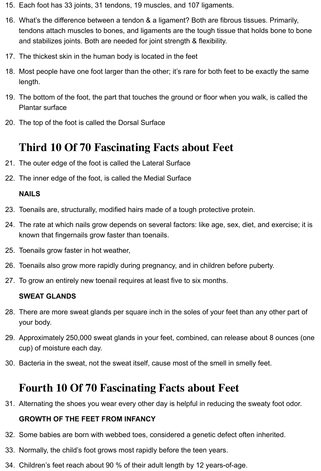- 15. Each foot has 33 joints, 31 tendons, 19 muscles, and 107 ligaments.
- 16. What's the difference between a tendon & a ligament? Both are fibrous tissues. Primarily, tendons attach muscles to bones, and ligaments are the tough tissue that holds bone to bone and stabilizes joints. Both are needed for joint strength & flexibility.
- 17. The thickest skin in the human body is located in the feet
- 18. Most people have one foot larger than the other; it's rare for both feet to be exactly the same length.
- 19. The bottom of the foot, the part that touches the ground or floor when you walk, is called the Plantar surface
- 20. The top of the foot is called the Dorsal Surface

### **Third 10 Of 70 Fascinating Facts about Feet**

- 21. The outer edge of the foot is called the Lateral Surface
- 22. The inner edge of the foot, is called the Medial Surface

#### **NAILS**

- 23. Toenails are, structurally, modified hairs made of a tough protective protein.
- 24. The rate at which nails grow depends on several factors: like age, sex, diet, and exercise; it is known that fingernails grow faster than toenails.
- 25. Toenails grow faster in hot weather,
- 26. Toenails also grow more rapidly during pregnancy, and in children before puberty.
- 27. To grow an entirely new toenail requires at least five to six months.

#### **SWEAT GLANDS**

- 28. There are more sweat glands per square inch in the soles of your feet than any other part of your body.
- 29. Approximately 250,000 sweat glands in your feet, combined, can release about 8 ounces (one cup) of moisture each day.
- 30. Bacteria in the sweat, not the sweat itself, cause most of the smell in smelly feet.

### **Fourth 10 Of 70 Fascinating Facts about Feet**

31. Alternating the shoes you wear every other day is helpful in reducing the sweaty foot odor.

#### **GROWTH OF THE FEET FROM INFANCY**

- 32. Some babies are born with webbed toes, considered a genetic defect often inherited.
- 33. Normally, the child's foot grows most rapidly before the teen years.
- 34. Children's feet reach about 90 % of their adult length by 12 years-of-age.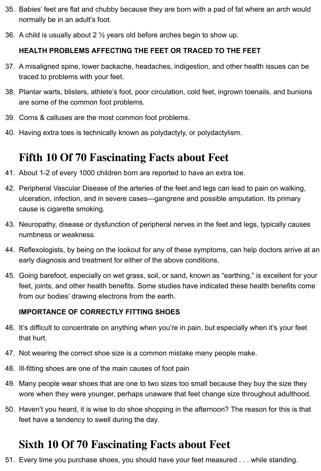- 35. Babies' feet are flat and chubby because they are born with a pad of fat where an arch would normally be in an adult's foot.
- 36. A child is usually about 2  $\frac{1}{2}$  years old before arches begin to show up.

#### **HEALTH PROBLEMS AFFECTING THE FEET OR TRACED TO THE FEET**

- 37. A misaligned spine, lower backache, headaches, indigestion, and other health issues can be traced to problems with your feet.
- 38. Plantar warts, blisters, athlete's foot, poor circulation, cold feet, ingrown toenails, and bunions are some of the common foot problems.
- 39. Corns & calluses are the most common foot problems.
- 40. Having extra toes is technically known as polydactyly, or polydactylism.

### **Fifth 10 Of 70 Fascinating Facts about Feet**

- 41. About 1-2 of every 1000 children born are reported to have an extra toe.
- 42. Peripheral Vascular Disease of the arteries of the feet and legs can lead to pain on walking, ulceration, infection, and in severe cases—gangrene and possible amputation. Its primary cause is cigarette smoking.
- 43. Neuropathy, disease or dysfunction of peripheral nerves in the feet and legs, typically causes numbness or weakness.
- 44. Reflexologists, by being on the lookout for any of these symptoms, can help doctors arrive at an early diagnosis and treatment for either of the above conditions.
- 45. Going barefoot, especially on wet grass, soil, or sand, known as "earthing," is excellent for your feet, joints, and other health benefits. Some studies have indicated these health benefits come from our bodies' drawing electrons from the earth.

#### **IMPORTANCE OF CORRECTLY FITTING SHOES**

- 46. It's difficult to concentrate on anything when you're in pain, but especially when it's your feet that hurt.
- 47. Not wearing the correct shoe size is a common mistake many people make.
- 48. Ill-fitting shoes are one of the main causes of foot pain
- 49. Many people wear shoes that are one to two sizes too small because they buy the size they wore when they were younger, perhaps unaware that feet change size throughout adulthood.
- 50. Haven't you heard, it is wise to do shoe shopping in the afternoon? The reason for this is that feet have a tendency to swell during the day.

### **Sixth 10 Of 70 Fascinating Facts about Feet**

51. Every time you purchase shoes, you should have your feet measured . . . while standing.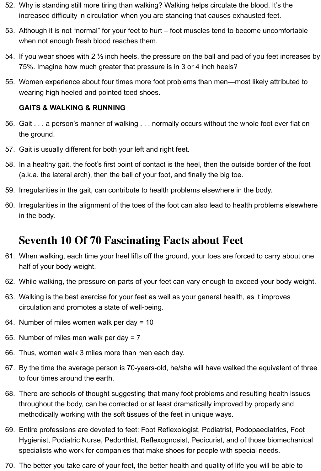- 52. Why is standing still more tiring than walking? Walking helps circulate the blood. It's the increased difficulty in circulation when you are standing that causes exhausted feet.
- 53. Although it is not "normal" for your feet to hurt foot muscles tend to become uncomfortable when not enough fresh blood reaches them.
- 54. If you wear shoes with 2 ½ inch heels, the pressure on the ball and pad of you feet increases by 75%. Imagine how much greater that pressure is in 3 or 4 inch heels?
- 55. Women experience about four times more foot problems than men—most likely attributed to wearing high heeled and pointed toed shoes.

#### **GAITS & WALKING & RUNNING**

- 56. Gait . . . a person's manner of walking . . . normally occurs without the whole foot ever flat on the ground.
- 57. Gait is usually different for both your left and right feet.
- 58. In a healthy gait, the foot's first point of contact is the heel, then the outside border of the foot (a.k.a. the lateral arch), then the ball of your foot, and finally the big toe.
- 59. Irregularities in the gait, can contribute to health problems elsewhere in the body.
- 60. Irregularities in the alignment of the toes of the foot can also lead to health problems elsewhere in the body.

### **Seventh 10 Of 70 Fascinating Facts about Feet**

- 61. When walking, each time your heel lifts off the ground, your toes are forced to carry about one half of your body weight.
- 62. While walking, the pressure on parts of your feet can vary enough to exceed your body weight.
- 63. Walking is the best exercise for your feet as well as your general health, as it improves circulation and promotes a state of well-being.
- 64. Number of miles women walk per day = 10
- 65. Number of miles men walk per day = 7
- 66. Thus, women walk 3 miles more than men each day.
- 67. By the time the average person is 70-years-old, he/she will have walked the equivalent of three to four times around the earth.
- 68. There are schools of thought suggesting that many foot problems and resulting health issues throughout the body, can be corrected or at least dramatically improved by properly and methodically working with the soft tissues of the feet in unique ways.
- 69. Entire professions are devoted to feet: Foot Reflexologist, Podiatrist, Podopaediatrics, Foot Hygienist, Podiatric Nurse, Pedorthist, Reflexognosist, Pedicurist, and of those biomechanical specialists who work for companies that make shoes for people with special needs.
- 70. The better you take care of your feet, the better health and quality of life you will be able to